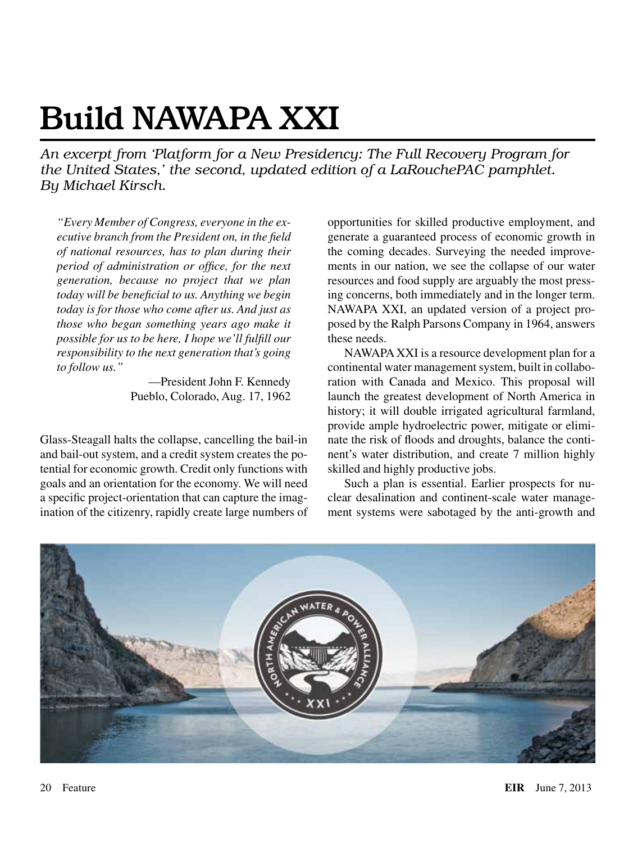# Build NAWAPA XXI

*An excerpt from 'Platform for a New Presidency: The Full Recovery Program for the United States,' the second, updated edition of a LaRouchePAC pamphlet. By Michael Kirsch.*

*"Every Member of Congress, everyone in the executive branch from the President on, in the field of national resources, has to plan during their period of administration or office, for the next generation, because no project that we plan today will be beneficial to us. Anything we begin today is for those who come after us. And just as those who began something years ago make it possible for us to be here, I hope we'll fulfill our responsibility to the next generation that's going to follow us."*

—President John F. Kennedy Pueblo, Colorado, Aug. 17, 1962

Glass-Steagall halts the collapse, cancelling the bail-in and bail-out system, and a credit system creates the potential for economic growth. Credit only functions with goals and an orientation for the economy. We will need a specific project-orientation that can capture the imagination of the citizenry, rapidly create large numbers of opportunities for skilled productive employment, and generate a guaranteed process of economic growth in the coming decades. Surveying the needed improvements in our nation, we see the collapse of our water resources and food supply are arguably the most pressing concerns, both immediately and in the longer term. NAWAPA XXI, an updated version of a project proposed by the Ralph Parsons Company in 1964, answers these needs.

NAWAPA XXI is a resource development plan for a continental water management system, built in collaboration with Canada and Mexico. This proposal will launch the greatest development of North America in history; it will double irrigated agricultural farmland, provide ample hydroelectric power, mitigate or eliminate the risk of floods and droughts, balance the continent's water distribution, and create 7 million highly skilled and highly productive jobs.

Such a plan is essential. Earlier prospects for nuclear desalination and continent-scale water management systems were sabotaged by the anti-growth and

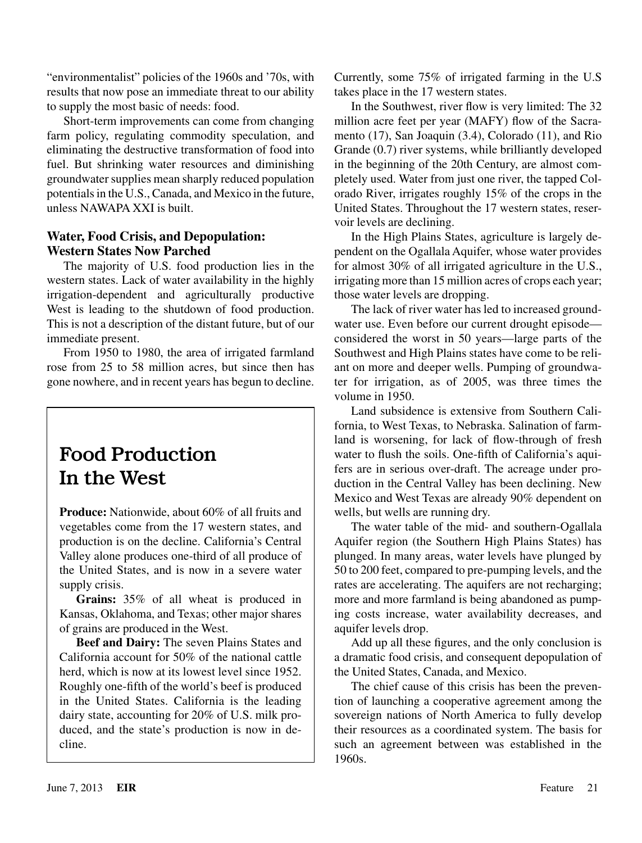"environmentalist" policies of the 1960s and '70s, with results that now pose an immediate threat to our ability to supply the most basic of needs: food.

Short-term improvements can come from changing farm policy, regulating commodity speculation, and eliminating the destructive transformation of food into fuel. But shrinking water resources and diminishing groundwater supplies mean sharply reduced population potentials in the U.S., Canada, and Mexico in the future, unless NAWAPA XXI is built.

## **Water, Food Crisis, and Depopulation: Western States Now Parched**

The majority of U.S. food production lies in the western states. Lack of water availability in the highly irrigation-dependent and agriculturally productive West is leading to the shutdown of food production. This is not a description of the distant future, but of our immediate present.

From 1950 to 1980, the area of irrigated farmland rose from 25 to 58 million acres, but since then has gone nowhere, and in recent years has begun to decline.

# Food Production In the West

**Produce:** Nationwide, about 60% of all fruits and vegetables come from the 17 western states, and production is on the decline. California's Central Valley alone produces one-third of all produce of the United States, and is now in a severe water supply crisis.

**Grains:** 35% of all wheat is produced in Kansas, Oklahoma, and Texas; other major shares of grains are produced in the West.

**Beef and Dairy:** The seven Plains States and California account for 50% of the national cattle herd, which is now at its lowest level since 1952. Roughly one-fifth of the world's beef is produced in the United States. California is the leading dairy state, accounting for 20% of U.S. milk produced, and the state's production is now in decline.

Currently, some 75% of irrigated farming in the U.S takes place in the 17 western states.

In the Southwest, river flow is very limited: The 32 million acre feet per year (MAFY) flow of the Sacramento (17), San Joaquin (3.4), Colorado (11), and Rio Grande (0.7) river systems, while brilliantly developed in the beginning of the 20th Century, are almost completely used. Water from just one river, the tapped Colorado River, irrigates roughly 15% of the crops in the United States. Throughout the 17 western states, reservoir levels are declining.

In the High Plains States, agriculture is largely dependent on the Ogallala Aquifer, whose water provides for almost 30% of all irrigated agriculture in the U.S., irrigating more than 15 million acres of crops each year; those water levels are dropping.

The lack of river water has led to increased groundwater use. Even before our current drought episode considered the worst in 50 years—large parts of the Southwest and High Plains states have come to be reliant on more and deeper wells. Pumping of groundwater for irrigation, as of 2005, was three times the volume in 1950.

Land subsidence is extensive from Southern California, to West Texas, to Nebraska. Salination of farmland is worsening, for lack of flow-through of fresh water to flush the soils. One-fifth of California's aquifers are in serious over-draft. The acreage under production in the Central Valley has been declining. New Mexico and West Texas are already 90% dependent on wells, but wells are running dry.

The water table of the mid- and southern-Ogallala Aquifer region (the Southern High Plains States) has plunged. In many areas, water levels have plunged by 50 to 200 feet, compared to pre-pumping levels, and the rates are accelerating. The aquifers are not recharging; more and more farmland is being abandoned as pumping costs increase, water availability decreases, and aquifer levels drop.

Add up all these figures, and the only conclusion is a dramatic food crisis, and consequent depopulation of the United States, Canada, and Mexico.

The chief cause of this crisis has been the prevention of launching a cooperative agreement among the sovereign nations of North America to fully develop their resources as a coordinated system. The basis for such an agreement between was established in the 1960s.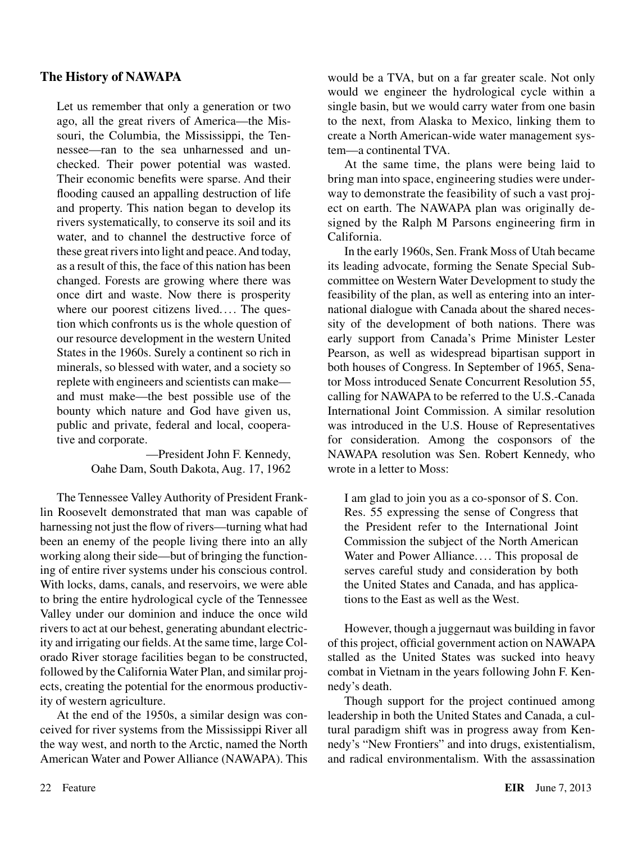### **The History of NAWAPA**

Let us remember that only a generation or two ago, all the great rivers of America—the Missouri, the Columbia, the Mississippi, the Tennessee—ran to the sea unharnessed and unchecked. Their power potential was wasted. Their economic benefits were sparse. And their flooding caused an appalling destruction of life and property. This nation began to develop its rivers systematically, to conserve its soil and its water, and to channel the destructive force of these great rivers into light and peace. And today, as a result of this, the face of this nation has been changed. Forests are growing where there was once dirt and waste. Now there is prosperity where our poorest citizens lived.... The question which confronts us is the whole question of our resource development in the western United States in the 1960s. Surely a continent so rich in minerals, so blessed with water, and a society so replete with engineers and scientists can make and must make—the best possible use of the bounty which nature and God have given us, public and private, federal and local, cooperative and corporate.

> —President John F. Kennedy, Oahe Dam, South Dakota, Aug. 17, 1962

The Tennessee Valley Authority of President Franklin Roosevelt demonstrated that man was capable of harnessing not just the flow of rivers—turning what had been an enemy of the people living there into an ally working along their side—but of bringing the functioning of entire river systems under his conscious control. With locks, dams, canals, and reservoirs, we were able to bring the entire hydrological cycle of the Tennessee Valley under our dominion and induce the once wild rivers to act at our behest, generating abundant electricity and irrigating our fields. At the same time, large Colorado River storage facilities began to be constructed, followed by the California Water Plan, and similar projects, creating the potential for the enormous productivity of western agriculture.

At the end of the 1950s, a similar design was conceived for river systems from the Mississippi River all the way west, and north to the Arctic, named the North American Water and Power Alliance (NAWAPA). This would be a TVA, but on a far greater scale. Not only would we engineer the hydrological cycle within a single basin, but we would carry water from one basin to the next, from Alaska to Mexico, linking them to create a North American-wide water management system—a continental TVA.

At the same time, the plans were being laid to bring man into space, engineering studies were underway to demonstrate the feasibility of such a vast project on earth. The NAWAPA plan was originally designed by the Ralph M Parsons engineering firm in California.

In the early 1960s, Sen. Frank Moss of Utah became its leading advocate, forming the Senate Special Subcommittee on Western Water Development to study the feasibility of the plan, as well as entering into an international dialogue with Canada about the shared necessity of the development of both nations. There was early support from Canada's Prime Minister Lester Pearson, as well as widespread bipartisan support in both houses of Congress. In September of 1965, Senator Moss introduced Senate Concurrent Resolution 55, calling for NAWAPA to be referred to the U.S.-Canada International Joint Commission. A similar resolution was introduced in the U.S. House of Representatives for consideration. Among the cosponsors of the NAWAPA resolution was Sen. Robert Kennedy, who wrote in a letter to Moss:

I am glad to join you as a co-sponsor of S. Con. Res. 55 expressing the sense of Congress that the President refer to the International Joint Commission the subject of the North American Water and Power Alliance.... This proposal de serves careful study and consideration by both the United States and Canada, and has applications to the East as well as the West.

However, though a juggernaut was building in favor of this project, official government action on NAWAPA stalled as the United States was sucked into heavy combat in Vietnam in the years following John F. Kennedy's death.

Though support for the project continued among leadership in both the United States and Canada, a cultural paradigm shift was in progress away from Kennedy's "New Frontiers" and into drugs, existentialism, and radical environmentalism. With the assassination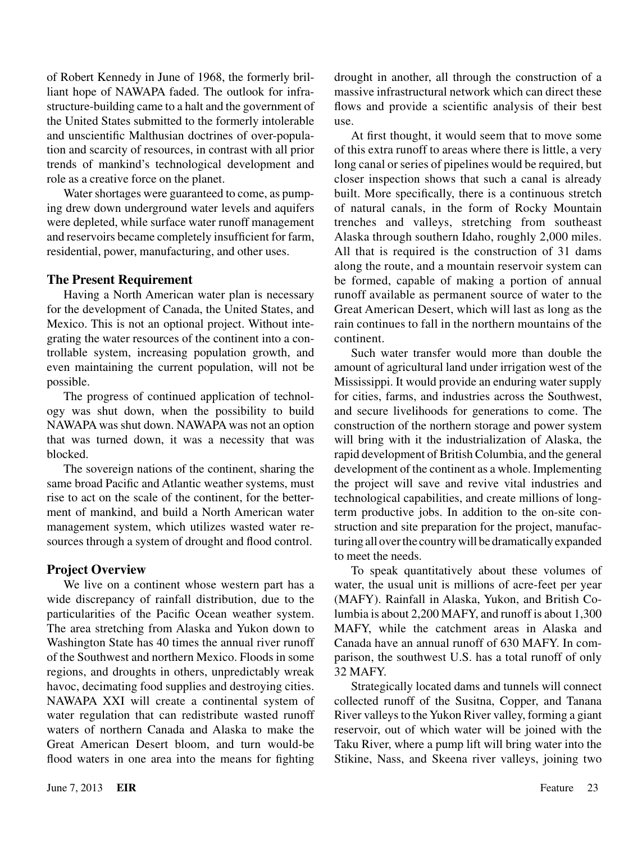of Robert Kennedy in June of 1968, the formerly brilliant hope of NAWAPA faded. The outlook for infrastructure-building came to a halt and the government of the United States submitted to the formerly intolerable and unscientific Malthusian doctrines of over-population and scarcity of resources, in contrast with all prior trends of mankind's technological development and role as a creative force on the planet.

Water shortages were guaranteed to come, as pumping drew down underground water levels and aquifers were depleted, while surface water runoff management and reservoirs became completely insufficient for farm, residential, power, manufacturing, and other uses.

#### **The Present Requirement**

Having a North American water plan is necessary for the development of Canada, the United States, and Mexico. This is not an optional project. Without integrating the water resources of the continent into a controllable system, increasing population growth, and even maintaining the current population, will not be possible.

The progress of continued application of technology was shut down, when the possibility to build NAWAPA was shut down. NAWAPA was not an option that was turned down, it was a necessity that was blocked.

The sovereign nations of the continent, sharing the same broad Pacific and Atlantic weather systems, must rise to act on the scale of the continent, for the betterment of mankind, and build a North American water management system, which utilizes wasted water resources through a system of drought and flood control.

## **Project Overview**

We live on a continent whose western part has a wide discrepancy of rainfall distribution, due to the particularities of the Pacific Ocean weather system. The area stretching from Alaska and Yukon down to Washington State has 40 times the annual river runoff of the Southwest and northern Mexico. Floods in some regions, and droughts in others, unpredictably wreak havoc, decimating food supplies and destroying cities. NAWAPA XXI will create a continental system of water regulation that can redistribute wasted runoff waters of northern Canada and Alaska to make the Great American Desert bloom, and turn would-be flood waters in one area into the means for fighting drought in another, all through the construction of a massive infrastructural network which can direct these flows and provide a scientific analysis of their best use.

At first thought, it would seem that to move some of this extra runoff to areas where there is little, a very long canal or series of pipelines would be required, but closer inspection shows that such a canal is already built. More specifically, there is a continuous stretch of natural canals, in the form of Rocky Mountain trenches and valleys, stretching from southeast Alaska through southern Idaho, roughly 2,000 miles. All that is required is the construction of 31 dams along the route, and a mountain reservoir system can be formed, capable of making a portion of annual runoff available as permanent source of water to the Great American Desert, which will last as long as the rain continues to fall in the northern mountains of the continent.

Such water transfer would more than double the amount of agricultural land under irrigation west of the Mississippi. It would provide an enduring water supply for cities, farms, and industries across the Southwest, and secure livelihoods for generations to come. The construction of the northern storage and power system will bring with it the industrialization of Alaska, the rapid development of British Columbia, and the general development of the continent as a whole. Implementing the project will save and revive vital industries and technological capabilities, and create millions of longterm productive jobs. In addition to the on-site construction and site preparation for the project, manufacturing all over the country will be dramatically expanded to meet the needs.

To speak quantitatively about these volumes of water, the usual unit is millions of acre-feet per year (MAFY). Rainfall in Alaska, Yukon, and British Columbia is about 2,200 MAFY, and runoff is about 1,300 MAFY, while the catchment areas in Alaska and Canada have an annual runoff of 630 MAFY. In comparison, the southwest U.S. has a total runoff of only 32 MAFY.

Strategically located dams and tunnels will connect collected runoff of the Susitna, Copper, and Tanana River valleys to the Yukon River valley, forming a giant reservoir, out of which water will be joined with the Taku River, where a pump lift will bring water into the Stikine, Nass, and Skeena river valleys, joining two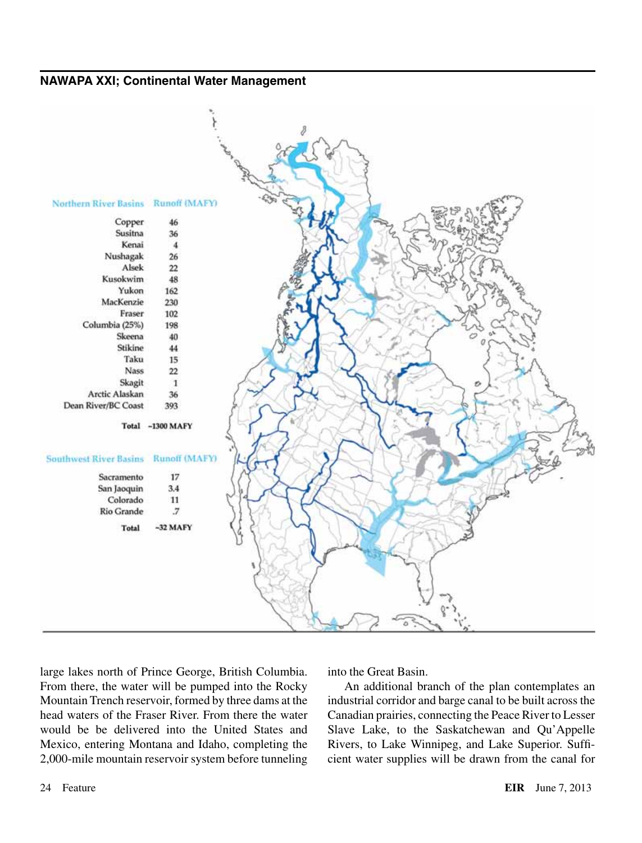#### **NAWAPA XXI; Continental Water Management**



large lakes north of Prince George, British Columbia. From there, the water will be pumped into the Rocky Mountain Trench reservoir, formed by three dams at the head waters of the Fraser River. From there the water would be be delivered into the United States and Mexico, entering Montana and Idaho, completing the 2,000-mile mountain reservoir system before tunneling into the Great Basin.

An additional branch of the plan contemplates an industrial corridor and barge canal to be built across the Canadian prairies, connecting the Peace River to Lesser Slave Lake, to the Saskatchewan and Qu'Appelle Rivers, to Lake Winnipeg, and Lake Superior. Sufficient water supplies will be drawn from the canal for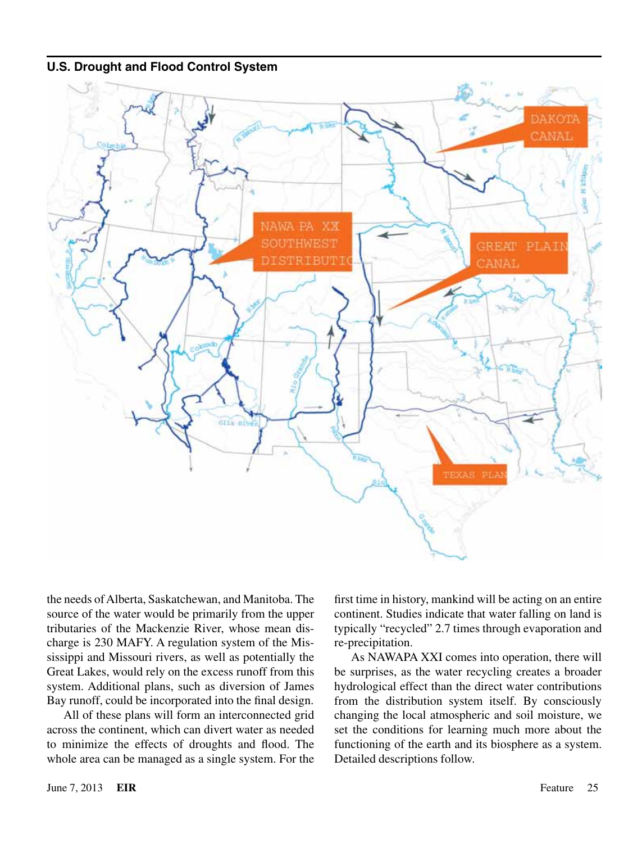#### **U.S. Drought and Flood Control System**



the needs of Alberta, Saskatchewan, and Manitoba. The source of the water would be primarily from the upper tributaries of the Mackenzie River, whose mean discharge is 230 MAFY. A regulation system of the Mississippi and Missouri rivers, as well as potentially the Great Lakes, would rely on the excess runoff from this system. Additional plans, such as diversion of James Bay runoff, could be incorporated into the final design.

All of these plans will form an interconnected grid across the continent, which can divert water as needed to minimize the effects of droughts and flood. The whole area can be managed as a single system. For the first time in history, mankind will be acting on an entire continent. Studies indicate that water falling on land is typically "recycled" 2.7 times through evaporation and re-precipitation.

As NAWAPA XXI comes into operation, there will be surprises, as the water recycling creates a broader hydrological effect than the direct water contributions from the distribution system itself. By consciously changing the local atmospheric and soil moisture, we set the conditions for learning much more about the functioning of the earth and its biosphere as a system. Detailed descriptions follow.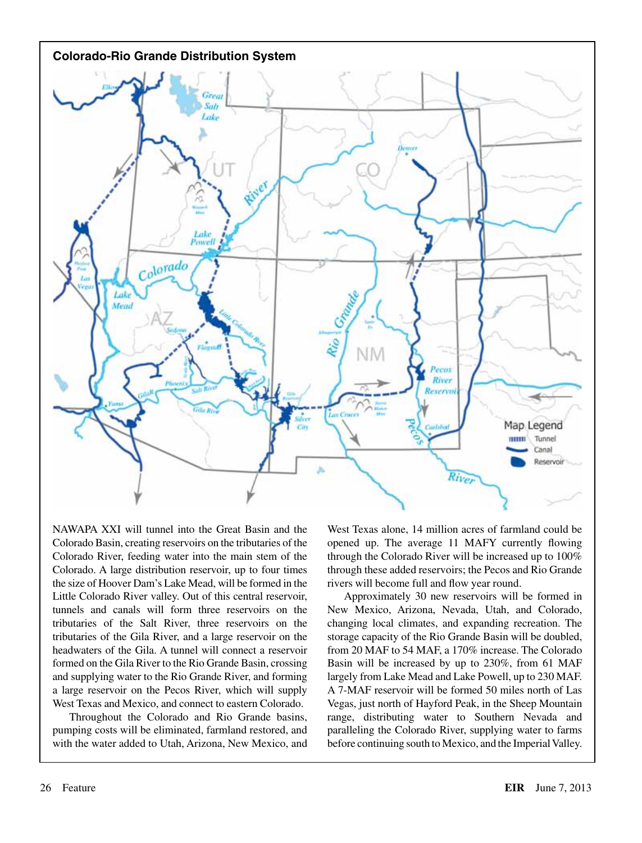

NAWAPA XXI will tunnel into the Great Basin and the Colorado Basin, creating reservoirs on the tributaries of the Colorado River, feeding water into the main stem of the Colorado. A large distribution reservoir, up to four times the size of Hoover Dam's Lake Mead, will be formed in the Little Colorado River valley. Out of this central reservoir, tunnels and canals will form three reservoirs on the tributaries of the Salt River, three reservoirs on the tributaries of the Gila River, and a large reservoir on the headwaters of the Gila. A tunnel will connect a reservoir formed on the Gila River to the Rio Grande Basin, crossing and supplying water to the Rio Grande River, and forming a large reservoir on the Pecos River, which will supply West Texas and Mexico, and connect to eastern Colorado.

Throughout the Colorado and Rio Grande basins, pumping costs will be eliminated, farmland restored, and with the water added to Utah, Arizona, New Mexico, and West Texas alone, 14 million acres of farmland could be opened up. The average 11 MAFY currently flowing through the Colorado River will be increased up to 100% through these added reservoirs; the Pecos and Rio Grande rivers will become full and flow year round.

Approximately 30 new reservoirs will be formed in New Mexico, Arizona, Nevada, Utah, and Colorado, changing local climates, and expanding recreation. The storage capacity of the Rio Grande Basin will be doubled, from 20 MAF to 54 MAF, a 170% increase. The Colorado Basin will be increased by up to 230%, from 61 MAF largely from Lake Mead and Lake Powell, up to 230 MAF. A 7-MAF reservoir will be formed 50 miles north of Las Vegas, just north of Hayford Peak, in the Sheep Mountain range, distributing water to Southern Nevada and paralleling the Colorado River, supplying water to farms before continuing south to Mexico, and the Imperial Valley.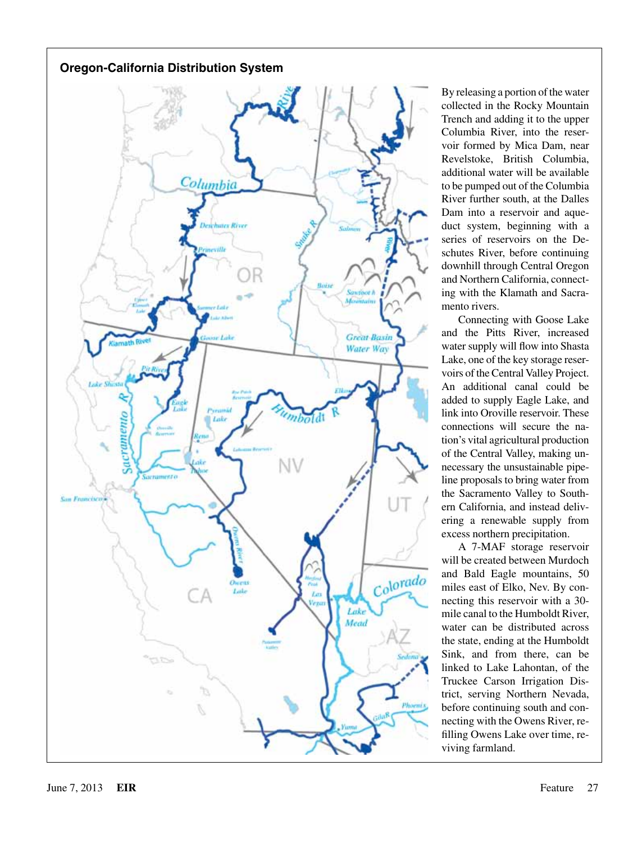

By releasing a portion of the water collected in the Rocky Mountain Trench and adding it to the upper Columbia River, into the reservoir formed by Mica Dam, near Revelstoke, British Columbia, additional water will be available to be pumped out of the Columbia River further south, at the Dalles Dam into a reservoir and aqueduct system, beginning with a series of reservoirs on the Deschutes River, before continuing downhill through Central Oregon and Northern California, connecting with the Klamath and Sacramento rivers.

Connecting with Goose Lake and the Pitts River, increased water supply will flow into Shasta Lake, one of the key storage reservoirs of the Central Valley Project. An additional canal could be added to supply Eagle Lake, and link into Oroville reservoir. These connections will secure the nation's vital agricultural production of the Central Valley, making unnecessary the unsustainable pipeline proposals to bring water from the Sacramento Valley to Southern California, and instead delivering a renewable supply from excess northern precipitation.

A 7-MAF storage reservoir will be created between Murdoch and Bald Eagle mountains, 50 miles east of Elko, Nev. By connecting this reservoir with a 30 mile canal to the Humboldt River, water can be distributed across the state, ending at the Humboldt Sink, and from there, can be linked to Lake Lahontan, of the Truckee Carson Irrigation District, serving Northern Nevada, before continuing south and connecting with the Owens River, refilling Owens Lake over time, reviving farmland.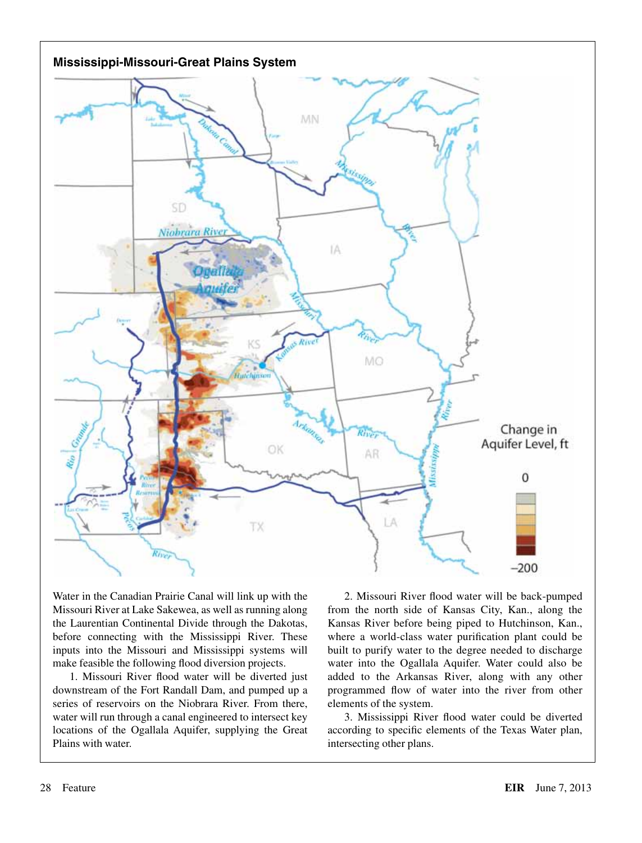

Water in the Canadian Prairie Canal will link up with the Missouri River at Lake Sakewea, as well as running along the Laurentian Continental Divide through the Dakotas, before connecting with the Mississippi River. These inputs into the Missouri and Mississippi systems will make feasible the following flood diversion projects.

1. Missouri River flood water will be diverted just downstream of the Fort Randall Dam, and pumped up a series of reservoirs on the Niobrara River. From there, water will run through a canal engineered to intersect key locations of the Ogallala Aquifer, supplying the Great Plains with water.

2. Missouri River flood water will be back-pumped from the north side of Kansas City, Kan., along the Kansas River before being piped to Hutchinson, Kan., where a world-class water purification plant could be built to purify water to the degree needed to discharge water into the Ogallala Aquifer. Water could also be added to the Arkansas River, along with any other programmed flow of water into the river from other elements of the system.

3. Mississippi River flood water could be diverted according to specific elements of the Texas Water plan, intersecting other plans.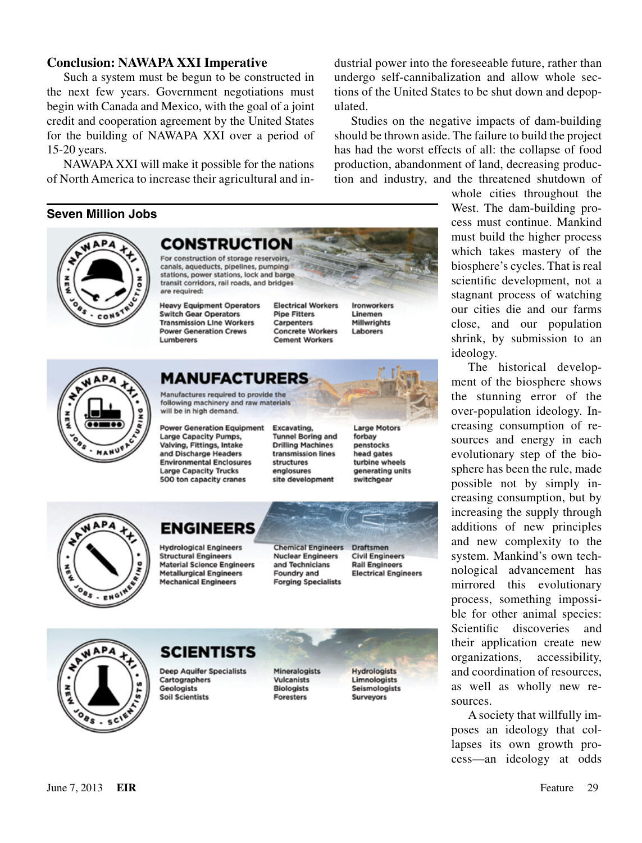#### **Conclusion: NAWAPA XXI Imperative**

Such a system must be begun to be constructed in the next few years. Government negotiations must begin with Canada and Mexico, with the goal of a joint credit and cooperation agreement by the United States for the building of NAWAPA XXI over a period of 15-20 years.

NAWAPA XXI will make it possible for the nations of North America to increase their agricultural and in-

are required:

Lumberers

#### **Seven Million Jobs**

dustrial power into the foreseeable future, rather than undergo self-cannibalization and allow whole sections of the United States to be shut down and depopulated.

Studies on the negative impacts of dam-building should be thrown aside. The failure to build the project has had the worst effects of all: the collapse of food production, abandonment of land, decreasing production and industry, and the threatened shutdown of



The historical development of the biosphere shows the stunning error of the over-population ideology. Increasing consumption of resources and energy in each evolutionary step of the biosphere has been the rule, made possible not by simply increasing consumption, but by increasing the supply through additions of new principles and new complexity to the system. Mankind's own technological advancement has mirrored this evolutionary process, something impossible for other animal species: Scientific discoveries and their application create new organizations, accessibility, and coordination of resources, as well as wholly new resources.

A society that willfully imposes an ideology that collapses its own growth process—an ideology at odds



CON

# MANUFACTURERS

Manufactures required to provide the following machinery and raw materials will be in high demand.

**CONSTRUCTION** For construction of storage reservoirs, canals, aqueducts, pipelines, pumping stations, power stations, lock and barge transit corridors, rail roads, and bridges

**Heavy Equipment Operators** 

**Transmission Line Workers** 

**Power Generation Crews** 

**Switch Gear Operators** 

**Power Generation Equipment Large Capacity Pumps.** Valving, Fittings, Intake and Discharge Headers **Environmental Enclosures Large Capacity Trucks** 500 ton capacity cranes

Excavating. **Tunnel Boring and Drilling Machines** transmission lines structures englosures site development

**Electrical Workers** 

**Concrete Workers** 

**Cement Workers** 

**Pipe Fitters** 

Carpenters

**Large Motors** forbay penstocks head gates turbine wheels generating units switchgear

**Ironworkers** 

**Millwrights** 

Linemen

Laborers



# **ENGINEERS**

**Hydrological Engineers Structural Engineers Material Science Engineers Metallurgical Engineers Mechanical Engineers** 

**Chemical Engineers Nuclear Engineers** and Technicians Foundry and **Forging Specialists** 

Draftsmen **Civil Engineers Rail Engineers Electrical Engineers** 



# **SCIENTISTS**

**Deep Aquifer Specialists** Cartographers Geologists **Soil Scientists** 

Mineralogists **Vulcanists Biologists Foresters** 

**Hydrologists** Limnologists Seismologists **Surveyors**